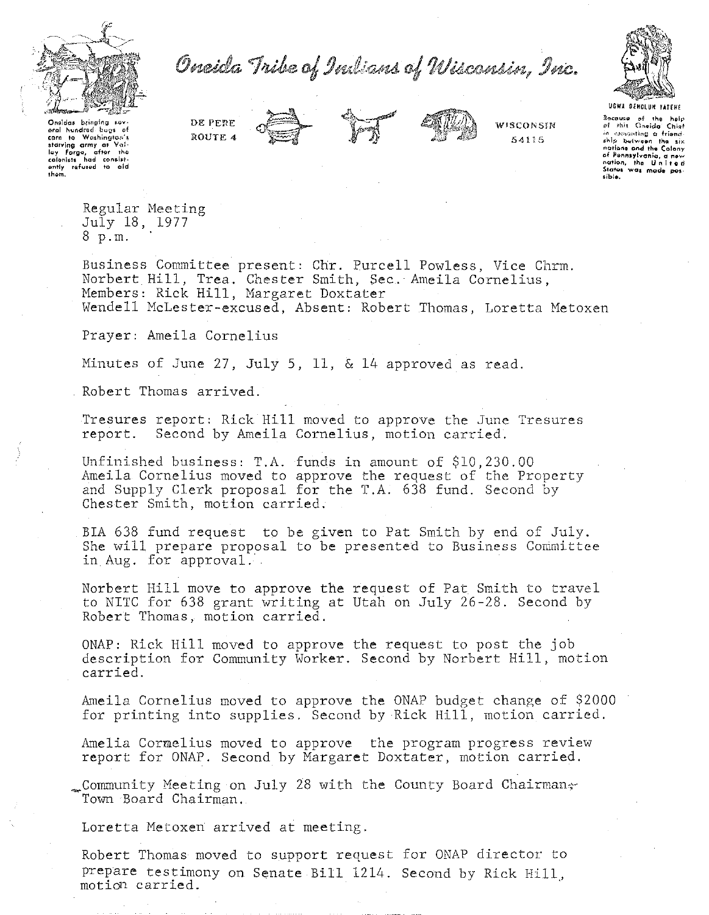

Oncida Tribe of Indians of Wisconsin, Inc.



Onsidas bringing sov-<br>aral hundred bugs of **gron to Washington's**<br> **atom to Washington's**<br> **loy Forge, ofter** the<br> **colonists** had consist-<br> **ontly refused to cid**<br> **ontly refused to cid**<br> **thom.**  DE PERE **ROUTE 4** 





**WISCONSIN**  54115

~lllln~J **of tho holr- <:>1** ~hi~ **(h'lido** Chi~f in escuanting **a friend**<br>ship between the six<br>nations and the Colony of Pennsylvania, a <del>new</del><br>nation, the United<br>States was mode pos-**&ible.** 

Regular Meeting July 18, 1977 8 p.m.

Business Committee present: Chr. Purcell Powless, Vice Chrm. Norbert Hill, Trea. Chester Smith, Sec. Ameila Cornelius, Members: Rick Hill, Margaret Doxtater Wendell McLester-excused, Absent: Robert Thomas, Loretta Metoxen

Prayer: Ameila Cornelius

Minutes of June 27, July 5, 11, & 14 approved as read.

Robert Thomas arrived.

Tresures report: Rick Hill moved to approve the June Tresures report. Second by Ameila Cornelius, motion carried.

Unfinished business: T.A. funds in amount of \$10,230.00 Ameila Cornelius moved to approve the request of the Property and Supply Clerk proposal for the T.A. 638 fund. Second by Chester Smith, motion carried.

BIA 638 fund request to be given to Pat Smith by end of July. She will prepare proposal to be presented to Business Committee in Aug. for approval.

Norbert Hill move to approve the request of Pat Smith to travel to NITC for 638 grant writing at Utah on July 26-28. Second by Robert Thomas, motion carried.

ONAP: Rick Hill moved to approve the request to post the job description for Community Worker. Second by Norbert Hill, motion carried.

Ameila Cornelius moved to approve the ONAP budget change of \$2000 for printing into supplies. Second by Rick Hill, motion carried.

Amelia Cormelius moved to approve the program progress review report for ONAP. Second by Margaret Doxtater, motion carried.

Community Meeting on July 28 with the County Board Chairmans Town Board Chairman.

Loretta Metoxen arrived at meeting.

Robert Thomas moved to support request for ONAP director to prepare testimony on Senate Bill 1214. Second by Rick Hill, motion carried.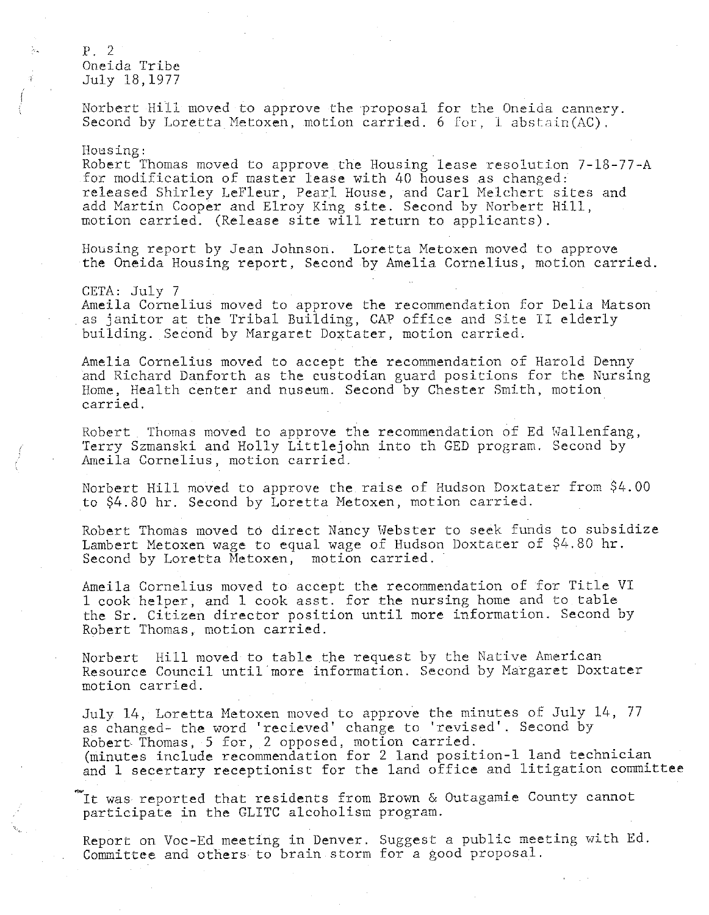p. 2 Oneida Tribe July 18,1977

Norbert Hill moved to approve the proposal for the Oneida cannery. Second by Loretta Metoxen, motion carried. 6 for, 1 abstain(AC).

## Housing:

Robert Thomas moved to approve the Housing lease resolution 7-18-77-A for modification of master lease with 40 houses as changed: released Shirley LeFleur, Pearl House, and Carl Melchert sites and add Martin Cooper and Elroy King site. Second by Norbert Hill, motion carried. (Release site will return to applicants).

Housing report by Jean Johnson. Loretta Metoxen moved to approve the Oneida Housing report, Second by Amelia Cornelius, motion carried.

## CETA: July 7

Ameila Cornelius moved to approve the recommendation for Delia Matson as janitor at the Tribal Building, CAP office and Site II elderly building. Second by Margaret Doxtater, motion carried.

Amelia Cornelius moved to accept the recommendation of Harold Denny and Richard Danforth as the custodian guard positions for the Nursing Home, Health center and nuseum. Second by Chester Smith, motion carried.

Robert Thomas moved to approve the recommendation of Ed Wallenfang, Terry Szmanski and Holly Littlejohn into th GED program. Second by Ameila Cornelius, motion carried.

Norbert Hill moved to approve the raise of Hudson Doxtater from \$4.00 to \$4.80 hr. Second by Loretta Metoxen, motion carried.

Robert Thomas moved to direct Nancy Hebster to seek funds to subsidize Lambert Metoxen wage to equal wage of Hudson Doxtater of \$4.80 hr. Second by Loretta Metoxen, motion carried.

Ameila Cornelius moved to accept the recommendation of for Title VI 1 cook helper, and 1 cook asst. for the nursing home and to table the Sr. Citizen director position until more information. Second by Robert Thomas, motion carried.

Norbert Hill moved to table the request by the Native American Resource Council until more information. Second by Margaret Doxtater motion carried.

July 14, Loretta Metoxen moved to approve the minutes of July 14, 77 as changed- the word 'recieved' change to 'revised'. Second by Robert- Thomas, 5 for, 2 opposed, motion carried. (minutes include recommendation for 2 land position-1 land technician and 1 secertary receptionist for the land office and litigation committee

It was reported that residents from Brown & Outagamie County cannot participate in the GLITC alcoholism program.

Report on Voc-Ed meeting in Denver. Suggest a public meeting with Ed. Committee and others to brain storm for a good proposal.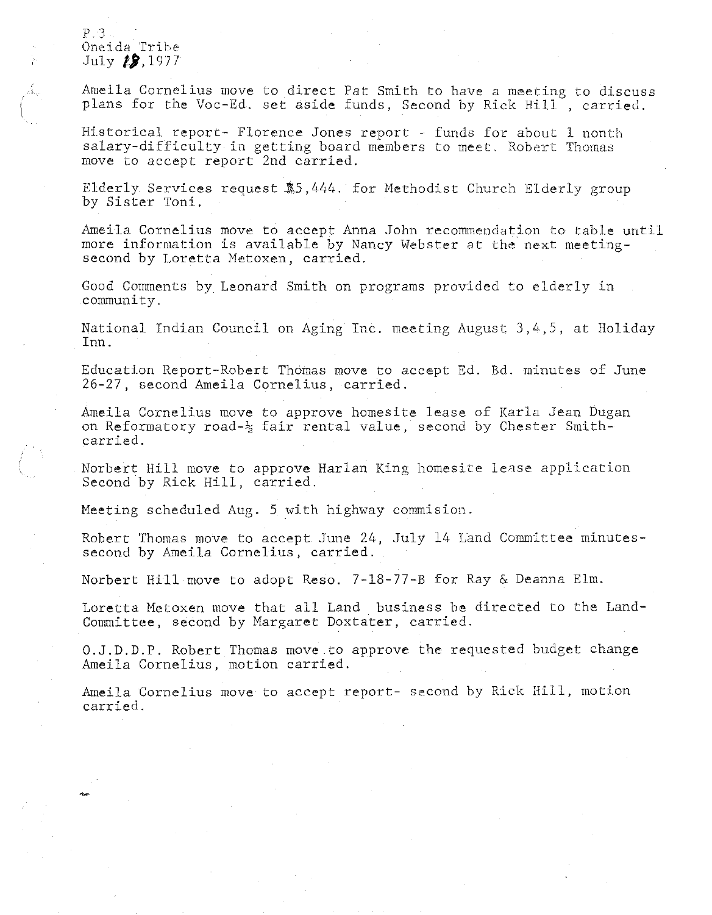$P.3$ Oneida Tribe July *t***,** 1977

Ameila Cornelius move to direct Pat Smith to have a meeting to discuss plans for the Voc-Ed, set aside funds, Second by Rick Hill, carried.

Historical report- Florence Jones report - funds for about 1 nonth salary-difficulty in getting board members to meet. Robert Thomas move to accept report 2nd carried.

Elderly Services request \$5,444. for Methodist Church Elderly group by Sister Toni.

Ameila Cornelius move to accept Anna John recommendation to table until more information is available by Nancy Webster at the next meetingsecond by Loretta Metoxen, carried.

Good Comments by Leonard Smith on programs provided to elderly in community.

National Indian Council on Aging Inc. meeting August 3,4,5, at Holiday Inn.

Education Report-Robert Thomas move to accept Ed. Bd. minutes of June 26-27, second Ameila Cornelius, carried.

Ameila Cornelius move to approve homesite lease of Karla Jean Dugan on Reformatory road- $\frac{1}{2}$  fair rental value, second by Chester Smithcarried.

Norbert Hill move to approve Harlan King homesite lease application Second by Rick Hill, carried.

Meeting scheduled Aug. 5 with highway commision.

Robert Thomas move to accept June 24, July 14 Land Committee minutessecond by Ameila Cornelius, carried.

Norbert Hill move to adopt Reso. 7-18-77-B for Ray & Deanna Elm.

Loretta Metoxen move that all Land business be directed to the Land-Committee, second by Margaret Doxtater, carried.

O.J.D.D.P. Robert Thomas move to approve the requested budget change Ameila Cornelius, motion carried.

Ameila Cornelius move to accept report- second by Rick Hill, motion carried.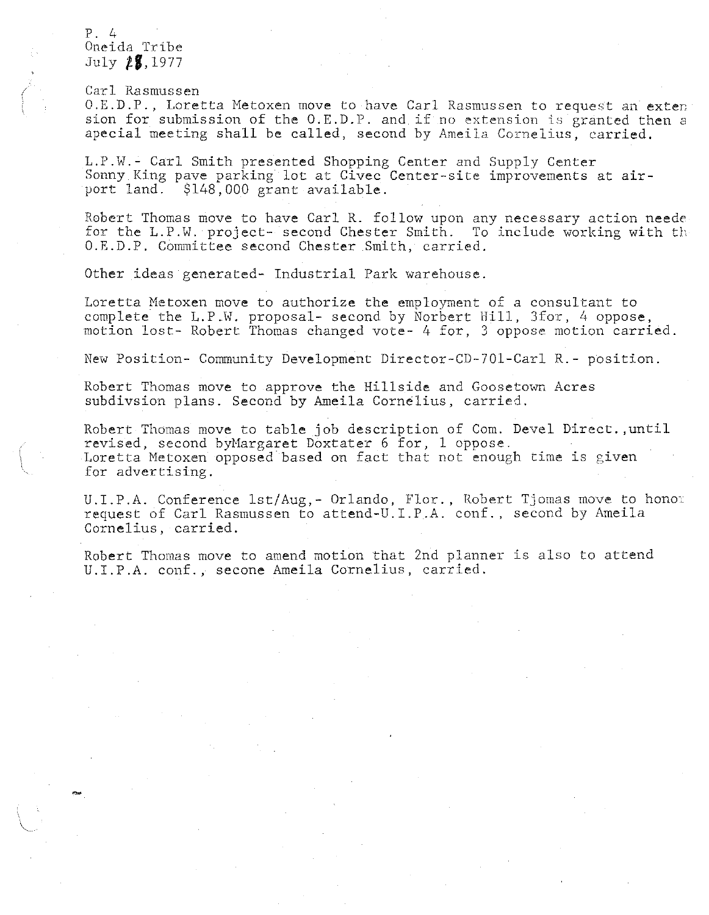P. 4 Oneida Tribe July **tf,l977** 

Carl Rasmussen

O.E.D.P., Loretta Metoxen move to have Carl Rasmussen to request an exten sion for submission of the O.E.D.P. and if no extension is granted then a apecial meeting shall be called, second by Ameila Cornelius, carried.

L.P.W.- Carl Smith presented Shopping Center and Supply Center Sonny King pave parking lot at Civec Center-site improvements at airport land. \$148,000 grant available.

Robert Thomas move to have Carl R. follow upon any necessary action neede for the L.P.W. project- second Chester Smith. To include working with th O.E.D.P. Committee second Chester Smith, carried.

Other ideas generated- Industrial Park warehouse.

Loretta Metoxen move to authorize the employment of a consultant to complete the L.P.W. proposal- second by Norbert Hill, 3for, 4 oppose, motion lost- Robert Thomas changed vote- 4 for, 3 oppose motion carried.

New Position- Community Development Director-CD-701-Carl R.- position.

Robert Thomas move to approve the Hillside and Goosetown Acres subdivsion plans. Second by Ameila Cornelius, carried.

Robert Thomas move to table job description of Com. Devel Direct. ,until revised, second byMargaret Doxtater 6 for, 1 oppose. Loretta Metoxen opposed based on fact that not enough time is given for advertising.

U.I.P.A. Conference lst/Aug,- Orlando, Flor., Robert Tjomas move to honom request of Carl Rasmussen to attend-U. I. P.A. conf. , second by Ameila Cornelius, carried.

Robert Thomas move to amend motion that 2nd planner is also to attend U.I.P.A. conf., secone Ameila Cornelius, carried.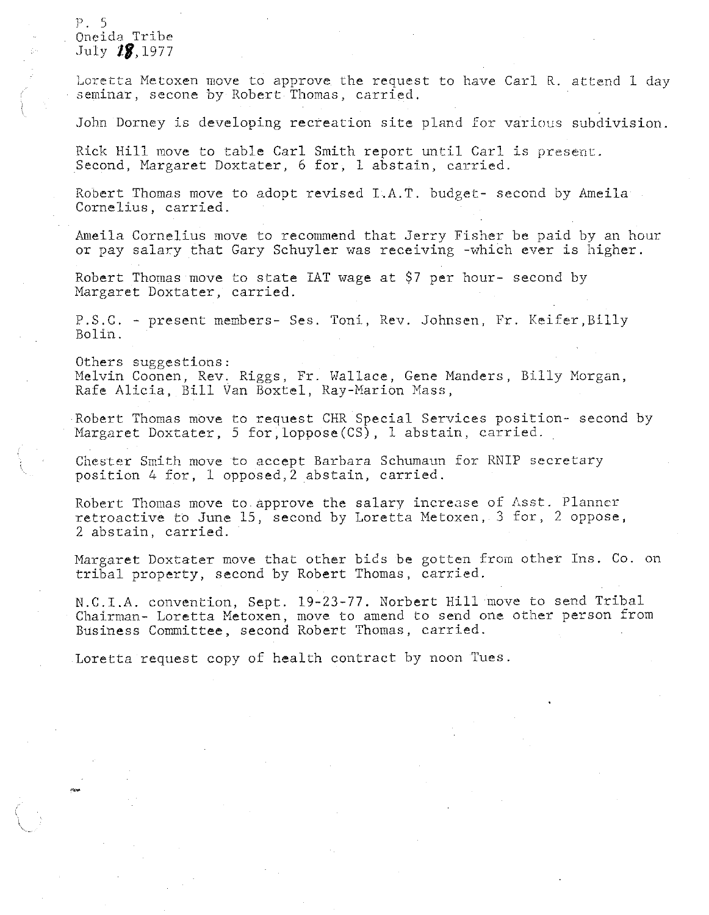## ]J. 5 Oneida Tribe July *zg,* 1977

Loretta Metoxen move to approve the request to have Carl R. attend 1 day seminar, secone by Robert Thomas, carried.

John Dorney is developing recreation site pland for various subdivision.

Rick Hill move to table Carl Smith report until Carl is present. Second, Margaret Doxtater, 6 for, 1 abstain, carried.

Robert Thomas move to adopt revised I.A.T. budget- second by Ameila Cornelius, carried.

Ameila Cornelius move to recommend that Jerry Fisher be paid by an hour or pay salary that Gary Schuyler was receiving -which ever is higher.

Robert Thomas move to state IAT wage at \$7 per hour- second by Margaret Doxtater, carried.

P.S.C. - present members- Ses. Toni, Rev. Johnsen, Fr. Keifer,Billy Bolin.

Others suggestions: Melvin Coonen, Rev. Riggs, Fr. Wallace, Gene Manders, Billy Morgan, Rafe Alicia, Bill Van Boxtel, Ray-Marion Mass,

Robert Thomas move to request CHR Special Services position- second by Margaret Doxtater, 5 for, loppose (CS), 1 abstain, carried.

Chester Smith move to accept Barbara Schumaun for RNIP secretary position 4 for, 1 opposed,2 abstain, carried.

Robert Thomas move to approve the salary increase of Asst. Planner retroactive to June 15, second by Loretta Metoxen, 3 for, 2 oppose, 2 abstain, carried.

Margaret Doxtater move that other bids be gotten from other Ins. Co. on tribal property, second by Robert Thomas, carried.

N.C.I.A. convention, Sept. 19-23-77. Norbert Hill move to send Tribal Chairman- Loretta Metoxen, move to amend to send one other person from Business Committee, second Robert Thomas, carried.

Loretta request copy of health contract by noon Tues.